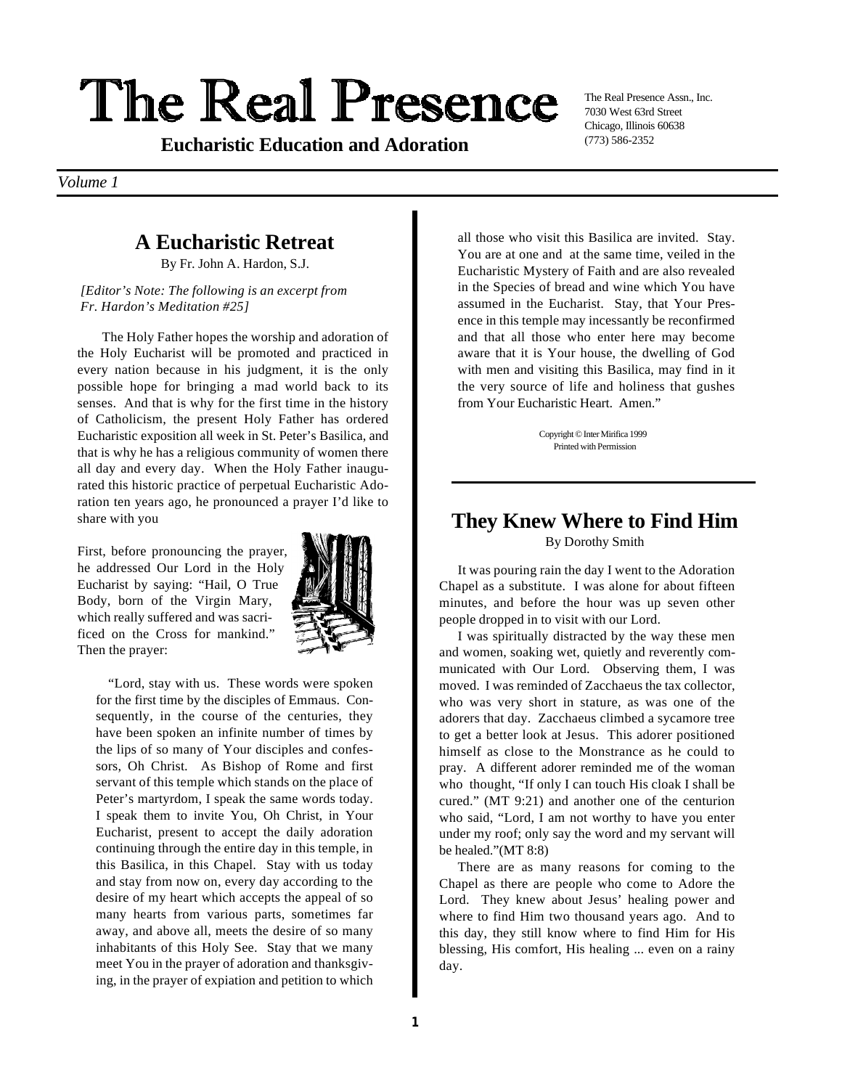# The Real Presence

(773) 586-2352 **Eucharistic Education and Adoration**

The Real Presence Assn., Inc. 7030 West 63rd Street Chicago, Illinois 60638

*Volume 1*

## **A Eucharistic Retreat**

By Fr. John A. Hardon, S.J.

#### *[Editor's Note: The following is an excerpt from Fr. Hardon's Meditation #25]*

The Holy Father hopes the worship and adoration of the Holy Eucharist will be promoted and practiced in every nation because in his judgment, it is the only possible hope for bringing a mad world back to its senses. And that is why for the first time in the history of Catholicism, the present Holy Father has ordered Eucharistic exposition all week in St. Peter's Basilica, and that is why he has a religious community of women there all day and every day. When the Holy Father inaugurated this historic practice of perpetual Eucharistic Adoration ten years ago, he pronounced a prayer I'd like to share with you

First, before pronouncing the prayer, he addressed Our Lord in the Holy Eucharist by saying: "Hail, O True Body, born of the Virgin Mary, which really suffered and was sacrificed on the Cross for mankind." Then the prayer:



"Lord, stay with us. These words were spoken for the first time by the disciples of Emmaus. Consequently, in the course of the centuries, they have been spoken an infinite number of times by the lips of so many of Your disciples and confessors, Oh Christ. As Bishop of Rome and first servant of this temple which stands on the place of Peter's martyrdom, I speak the same words today. I speak them to invite You, Oh Christ, in Your Eucharist, present to accept the daily adoration continuing through the entire day in this temple, in this Basilica, in this Chapel. Stay with us today and stay from now on, every day according to the desire of my heart which accepts the appeal of so many hearts from various parts, sometimes far away, and above all, meets the desire of so many inhabitants of this Holy See. Stay that we many meet You in the prayer of adoration and thanksgiving, in the prayer of expiation and petition to which

all those who visit this Basilica are invited. Stay. You are at one and at the same time, veiled in the Eucharistic Mystery of Faith and are also revealed in the Species of bread and wine which You have assumed in the Eucharist. Stay, that Your Presence in this temple may incessantly be reconfirmed and that all those who enter here may become aware that it is Your house, the dwelling of God with men and visiting this Basilica, may find in it the very source of life and holiness that gushes from Your Eucharistic Heart. Amen."

> Copyright © Inter Mirifica 1999 Printed with Permission

#### **They Knew Where to Find Him** By Dorothy Smith

It was pouring rain the day I went to the Adoration Chapel as a substitute. I was alone for about fifteen minutes, and before the hour was up seven other people dropped in to visit with our Lord.

I was spiritually distracted by the way these men and women, soaking wet, quietly and reverently communicated with Our Lord. Observing them, I was moved. I was reminded of Zacchaeus the tax collector, who was very short in stature, as was one of the adorers that day. Zacchaeus climbed a sycamore tree to get a better look at Jesus. This adorer positioned himself as close to the Monstrance as he could to pray. A different adorer reminded me of the woman who thought, "If only I can touch His cloak I shall be cured." (MT 9:21) and another one of the centurion who said, "Lord, I am not worthy to have you enter under my roof; only say the word and my servant will be healed."(MT 8:8)

There are as many reasons for coming to the Chapel as there are people who come to Adore the Lord. They knew about Jesus' healing power and where to find Him two thousand years ago. And to this day, they still know where to find Him for His blessing, His comfort, His healing ... even on a rainy day.